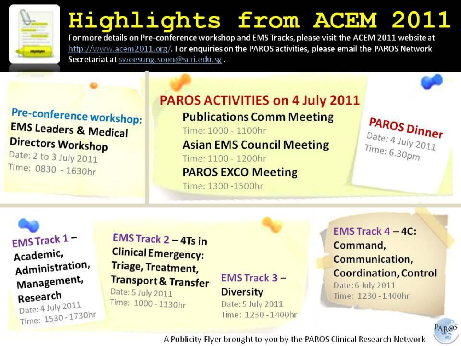

### Highlights from ACEM 2011

For more details on Pre-conference workshop and EMS Tracks, please visit the ACEM 2011 website at http://www.acem2011.org/. For enquiries on the PAROS activities, please email the PAROS Network Secretariat at sweesung.soon@scri.edu.sg.

### Pre-conference workshop: **EMS Leaders & Medical Directors Workshop**

Date: 2 to 3 July 2011 Time: 0830 - 1630hr

### **PAROS ACTIVITIES on 4 July 2011**

#### **Publications Comm Meeting**

Time: 1000 - 1100hr

#### **Asian EMS Council Meeting**

Time: 1100 - 1200hr **PAROS EXCO Meeting** 

Time: 1300 - 1500hr

PAROS Dinner Date: 4 July 2011 Time:  $6.30<sub>pm</sub>$ 

EMS Track 1-Academic, Administration, Management, Research

Date: 4 July 2011 Time: 1530 - 1730hr

**EMS Track 2 - 4Ts in Clinical Emergency: Triage, Treatment, Transport & Transfer** Date: 5 July 2011 Time: 1000-1130hr

**EMS Track 3-Diversity** 

Date: 5 July 2011 Time: 1230-1400hr

#### **EMS Track**  $4 - 4C$ **:** Command, Communication, **Coordination, Control** Date: 6 July 2011 Time: 1230-1400hr

AROS

A Publicity Flyer brought to you by the PAROS Clinical Research Network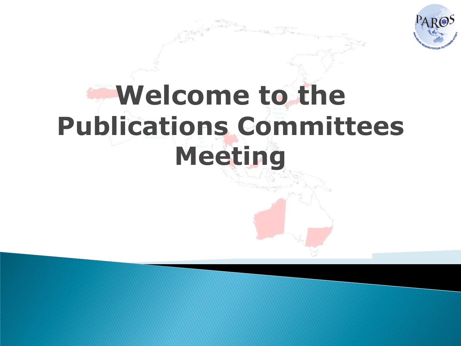

## **Welcome to the Publications Committees Meeting**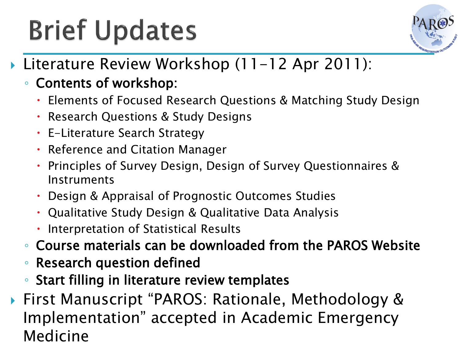## **Brief Updates**



- ▶ Literature Review Workshop (11-12 Apr 2011):
	- Contents of workshop:
		- Elements of Focused Research Questions & Matching Study Design
		- Research Questions & Study Designs
		- E-Literature Search Strategy
		- Reference and Citation Manager
		- Principles of Survey Design, Design of Survey Questionnaires & Instruments
		- Design & Appraisal of Prognostic Outcomes Studies
		- Qualitative Study Design & Qualitative Data Analysis
		- Interpretation of Statistical Results
	- Course materials can be downloaded from the PAROS Website
	- Research question defined
	- Start filling in literature review templates
- ▶ First Manuscript "PAROS: Rationale, Methodology & Implementation" accepted in Academic Emergency Medicine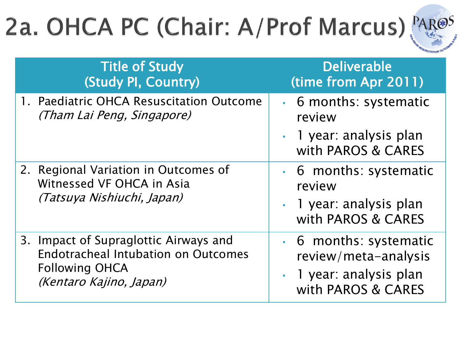## 2a. OHCA PC (Chair: A/Prof Marcus), PAR@S



| <b>Title of Study</b>                                                                           | <b>Deliverable</b>                                                                |
|-------------------------------------------------------------------------------------------------|-----------------------------------------------------------------------------------|
| (Study PI, Country)                                                                             | (time from Apr 2011)                                                              |
| 1. Paediatric OHCA Resuscitation Outcome<br>(Tham Lai Peng, Singapore)                          | • 6 months: systematic<br>review<br>• 1 year: analysis plan<br>with PAROS & CARES |
| 2. Regional Variation in Outcomes of<br>Witnessed VF OHCA in Asia<br>(Tatsuya Nishiuchi, Japan) | • 6 months: systematic<br>review<br>• 1 year: analysis plan<br>with PAROS & CARES |
| 3. Impact of Supraglottic Airways and                                                           | • 6 months: systematic                                                            |
| <b>Endotracheal Intubation on Outcomes</b>                                                      | review/meta-analysis                                                              |
| <b>Following OHCA</b>                                                                           | 1 year: analysis plan                                                             |
| (Kentaro Kajino, Japan)                                                                         | with PAROS & CARES                                                                |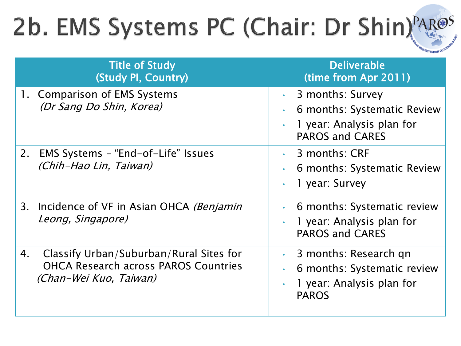## 2b. EMS Systems PC (Chair: Dr Shin)<sup>PAR@S</sup>

| <b>Title of Study</b><br>(Study PI, Country)                                                                           | <b>Deliverable</b><br>(time from Apr 2011)                                                                                               |
|------------------------------------------------------------------------------------------------------------------------|------------------------------------------------------------------------------------------------------------------------------------------|
| 1. Comparison of EMS Systems<br>(Dr Sang Do Shin, Korea)                                                               | 3 months: Survey<br>$\bullet$ .<br>6 months: Systematic Review<br>1 year: Analysis plan for<br>$\bullet$<br><b>PAROS and CARES</b>       |
| EMS Systems - "End-of-Life" Issues<br>2.<br>(Chih-Hao Lin, Taiwan)                                                     | 3 months: CRF<br>$\bullet$ .<br>6 months: Systematic Review<br>$\bullet$<br>1 year: Survey<br>$\bullet$                                  |
| Incidence of VF in Asian OHCA (Benjamin<br>3.<br>Leong, Singapore)                                                     | 6 months: Systematic review<br>$\bullet$<br>1 year: Analysis plan for<br>$\bullet$<br><b>PAROS and CARES</b>                             |
| Classify Urban/Suburban/Rural Sites for<br>4.<br><b>OHCA Research across PAROS Countries</b><br>(Chan-Wei Kuo, Taiwan) | 3 months: Research gn<br>$\bullet$<br>6 months: Systematic review<br>$\bullet$<br>1 year: Analysis plan for<br>$\bullet$<br><b>PAROS</b> |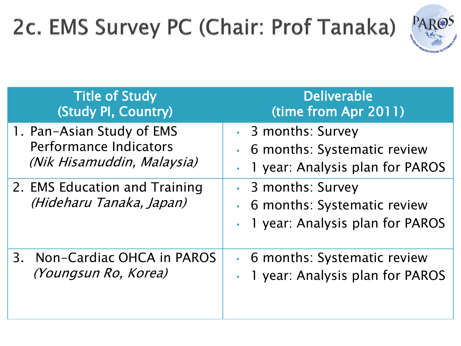## 2c. EMS Survey PC (Chair: Prof Tanaka)



| <b>Title of Study</b><br>(Study PI, Country)                                      | <b>Deliverable</b><br>(time from Apr 2011)                                                                     |
|-----------------------------------------------------------------------------------|----------------------------------------------------------------------------------------------------------------|
| 1. Pan-Asian Study of EMS<br>Performance Indicators<br>(Nik Hisamuddin, Malaysia) | • 3 months: Survey<br>6 months: Systematic review<br>$\bullet$<br>1 year: Analysis plan for PAROS<br>$\bullet$ |
| 2. EMS Education and Training<br>(Hideharu Tanaka, Japan)                         | • 3 months: Survey<br>6 months: Systematic review<br>$\bullet$<br>1 year: Analysis plan for PAROS<br>$\bullet$ |
| 3. Non-Cardiac OHCA in PAROS<br>(Youngsun Ro, Korea)                              | • 6 months: Systematic review<br>1 year: Analysis plan for PAROS                                               |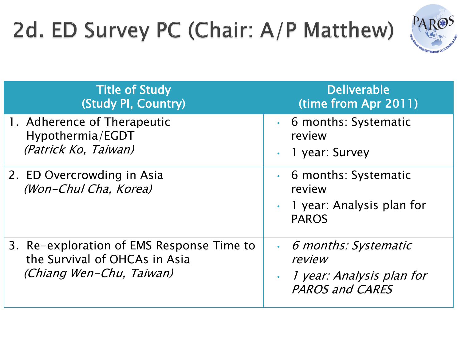## 2d. ED Survey PC (Chair: A/P Matthew)



| <b>Title of Study</b><br>(Study PI, Country)                                                           | <b>Deliverable</b><br>(time from Apr 2011)                                                                               |
|--------------------------------------------------------------------------------------------------------|--------------------------------------------------------------------------------------------------------------------------|
| 1. Adherence of Therapeutic<br>Hypothermia/EGDT<br>(Patrick Ko, Taiwan)                                | • 6 months: Systematic<br>review<br>1 year: Survey<br>$\bullet$                                                          |
| 2. ED Overcrowding in Asia<br>(Won-Chul Cha, Korea)                                                    | • 6 months: Systematic<br>review<br>1 year: Analysis plan for<br><b>PAROS</b>                                            |
| 3. Re-exploration of EMS Response Time to<br>the Survival of OHCAs in Asia<br>(Chiang Wen-Chu, Taiwan) | 6 months: Systematic<br>$\bullet$ .<br>review<br><i>1 year: Analysis plan for</i><br>$\bullet$<br><b>PAROS and CARES</b> |